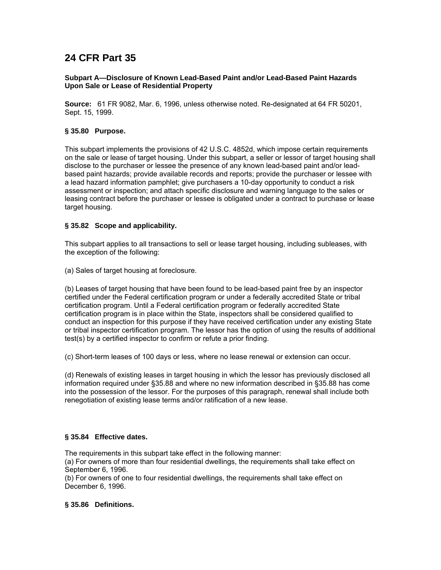# **24 CFR Part 35**

## **Subpart A—Disclosure of Known Lead-Based Paint and/or Lead-Based Paint Hazards Upon Sale or Lease of Residential Property**

**Source:** 61 FR 9082, Mar. 6, 1996, unless otherwise noted. Re-designated at 64 FR 50201, Sept. 15, 1999.

## **§ 35.80 Purpose.**

This subpart implements the provisions of 42 U.S.C. 4852d, which impose certain requirements on the sale or lease of target housing. Under this subpart, a seller or lessor of target housing shall disclose to the purchaser or lessee the presence of any known lead-based paint and/or leadbased paint hazards; provide available records and reports; provide the purchaser or lessee with a lead hazard information pamphlet; give purchasers a 10-day opportunity to conduct a risk assessment or inspection; and attach specific disclosure and warning language to the sales or leasing contract before the purchaser or lessee is obligated under a contract to purchase or lease target housing.

# **§ 35.82 Scope and applicability.**

This subpart applies to all transactions to sell or lease target housing, including subleases, with the exception of the following:

(a) Sales of target housing at foreclosure.

(b) Leases of target housing that have been found to be lead-based paint free by an inspector certified under the Federal certification program or under a federally accredited State or tribal certification program. Until a Federal certification program or federally accredited State certification program is in place within the State, inspectors shall be considered qualified to conduct an inspection for this purpose if they have received certification under any existing State or tribal inspector certification program. The lessor has the option of using the results of additional test(s) by a certified inspector to confirm or refute a prior finding.

(c) Short-term leases of 100 days or less, where no lease renewal or extension can occur.

(d) Renewals of existing leases in target housing in which the lessor has previously disclosed all information required under §35.88 and where no new information described in §35.88 has come into the possession of the lessor. For the purposes of this paragraph, renewal shall include both renegotiation of existing lease terms and/or ratification of a new lease.

# **§ 35.84 Effective dates.**

The requirements in this subpart take effect in the following manner:

(a) For owners of more than four residential dwellings, the requirements shall take effect on September 6, 1996.

(b) For owners of one to four residential dwellings, the requirements shall take effect on December 6, 1996.

# **§ 35.86 Definitions.**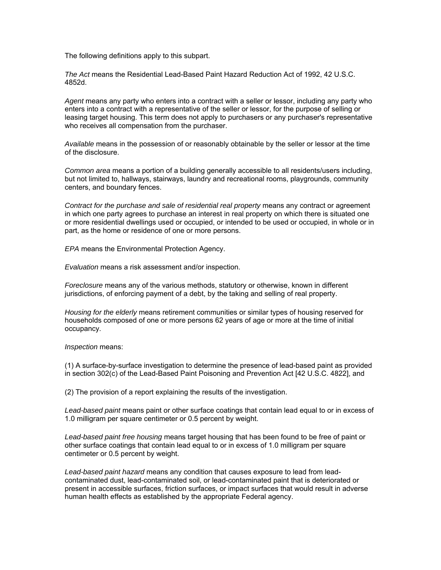The following definitions apply to this subpart.

*The Act* means the Residential Lead-Based Paint Hazard Reduction Act of 1992, 42 U.S.C. 4852d.

*Agent* means any party who enters into a contract with a seller or lessor, including any party who enters into a contract with a representative of the seller or lessor, for the purpose of selling or leasing target housing. This term does not apply to purchasers or any purchaser's representative who receives all compensation from the purchaser.

*Available* means in the possession of or reasonably obtainable by the seller or lessor at the time of the disclosure.

*Common area* means a portion of a building generally accessible to all residents/users including, but not limited to, hallways, stairways, laundry and recreational rooms, playgrounds, community centers, and boundary fences.

*Contract for the purchase and sale of residential real property* means any contract or agreement in which one party agrees to purchase an interest in real property on which there is situated one or more residential dwellings used or occupied, or intended to be used or occupied, in whole or in part, as the home or residence of one or more persons.

*EPA* means the Environmental Protection Agency.

*Evaluation* means a risk assessment and/or inspection.

*Foreclosure* means any of the various methods, statutory or otherwise, known in different jurisdictions, of enforcing payment of a debt, by the taking and selling of real property.

*Housing for the elderly* means retirement communities or similar types of housing reserved for households composed of one or more persons 62 years of age or more at the time of initial occupancy.

*Inspection* means:

(1) A surface-by-surface investigation to determine the presence of lead-based paint as provided in section 302(c) of the Lead-Based Paint Poisoning and Prevention Act [42 U.S.C. 4822], and

(2) The provision of a report explaining the results of the investigation.

*Lead-based paint* means paint or other surface coatings that contain lead equal to or in excess of 1.0 milligram per square centimeter or 0.5 percent by weight.

*Lead-based paint free housing* means target housing that has been found to be free of paint or other surface coatings that contain lead equal to or in excess of 1.0 milligram per square centimeter or 0.5 percent by weight.

*Lead-based paint hazard* means any condition that causes exposure to lead from leadcontaminated dust, lead-contaminated soil, or lead-contaminated paint that is deteriorated or present in accessible surfaces, friction surfaces, or impact surfaces that would result in adverse human health effects as established by the appropriate Federal agency.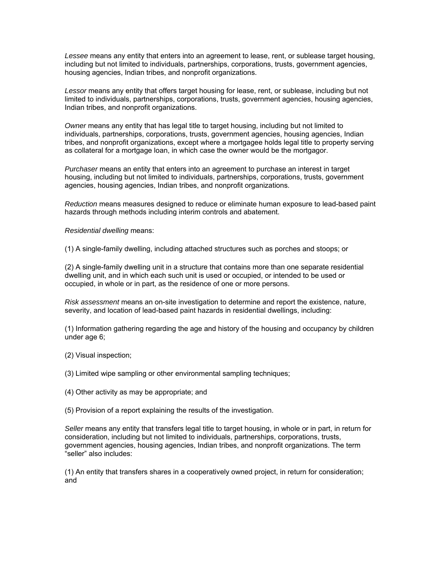*Lessee* means any entity that enters into an agreement to lease, rent, or sublease target housing, including but not limited to individuals, partnerships, corporations, trusts, government agencies, housing agencies, Indian tribes, and nonprofit organizations.

*Lessor* means any entity that offers target housing for lease, rent, or sublease, including but not limited to individuals, partnerships, corporations, trusts, government agencies, housing agencies, Indian tribes, and nonprofit organizations.

*Owner* means any entity that has legal title to target housing, including but not limited to individuals, partnerships, corporations, trusts, government agencies, housing agencies, Indian tribes, and nonprofit organizations, except where a mortgagee holds legal title to property serving as collateral for a mortgage loan, in which case the owner would be the mortgagor.

*Purchaser* means an entity that enters into an agreement to purchase an interest in target housing, including but not limited to individuals, partnerships, corporations, trusts, government agencies, housing agencies, Indian tribes, and nonprofit organizations.

*Reduction* means measures designed to reduce or eliminate human exposure to lead-based paint hazards through methods including interim controls and abatement.

*Residential dwelling* means:

(1) A single-family dwelling, including attached structures such as porches and stoops; or

(2) A single-family dwelling unit in a structure that contains more than one separate residential dwelling unit, and in which each such unit is used or occupied, or intended to be used or occupied, in whole or in part, as the residence of one or more persons.

*Risk assessment* means an on-site investigation to determine and report the existence, nature, severity, and location of lead-based paint hazards in residential dwellings, including:

(1) Information gathering regarding the age and history of the housing and occupancy by children under age 6;

- (2) Visual inspection;
- (3) Limited wipe sampling or other environmental sampling techniques;
- (4) Other activity as may be appropriate; and

(5) Provision of a report explaining the results of the investigation.

*Seller* means any entity that transfers legal title to target housing, in whole or in part, in return for consideration, including but not limited to individuals, partnerships, corporations, trusts, government agencies, housing agencies, Indian tribes, and nonprofit organizations. The term "seller" also includes:

(1) An entity that transfers shares in a cooperatively owned project, in return for consideration; and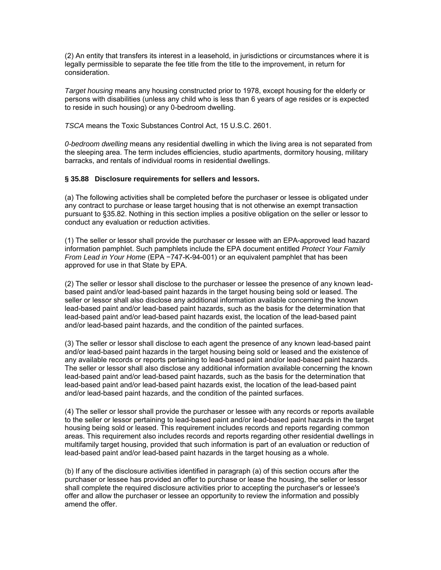(2) An entity that transfers its interest in a leasehold, in jurisdictions or circumstances where it is legally permissible to separate the fee title from the title to the improvement, in return for consideration.

*Target housing* means any housing constructed prior to 1978, except housing for the elderly or persons with disabilities (unless any child who is less than 6 years of age resides or is expected to reside in such housing) or any 0-bedroom dwelling.

*TSCA* means the Toxic Substances Control Act, 15 U.S.C. 2601.

*0-bedroom dwelling* means any residential dwelling in which the living area is not separated from the sleeping area. The term includes efficiencies, studio apartments, dormitory housing, military barracks, and rentals of individual rooms in residential dwellings.

#### **§ 35.88 Disclosure requirements for sellers and lessors.**

(a) The following activities shall be completed before the purchaser or lessee is obligated under any contract to purchase or lease target housing that is not otherwise an exempt transaction pursuant to §35.82. Nothing in this section implies a positive obligation on the seller or lessor to conduct any evaluation or reduction activities.

(1) The seller or lessor shall provide the purchaser or lessee with an EPA-approved lead hazard information pamphlet. Such pamphlets include the EPA document entitled *Protect Your Family From Lead in Your Home* (EPA −747-K-94-001) or an equivalent pamphlet that has been approved for use in that State by EPA.

(2) The seller or lessor shall disclose to the purchaser or lessee the presence of any known leadbased paint and/or lead-based paint hazards in the target housing being sold or leased. The seller or lessor shall also disclose any additional information available concerning the known lead-based paint and/or lead-based paint hazards, such as the basis for the determination that lead-based paint and/or lead-based paint hazards exist, the location of the lead-based paint and/or lead-based paint hazards, and the condition of the painted surfaces.

(3) The seller or lessor shall disclose to each agent the presence of any known lead-based paint and/or lead-based paint hazards in the target housing being sold or leased and the existence of any available records or reports pertaining to lead-based paint and/or lead-based paint hazards. The seller or lessor shall also disclose any additional information available concerning the known lead-based paint and/or lead-based paint hazards, such as the basis for the determination that lead-based paint and/or lead-based paint hazards exist, the location of the lead-based paint and/or lead-based paint hazards, and the condition of the painted surfaces.

(4) The seller or lessor shall provide the purchaser or lessee with any records or reports available to the seller or lessor pertaining to lead-based paint and/or lead-based paint hazards in the target housing being sold or leased. This requirement includes records and reports regarding common areas. This requirement also includes records and reports regarding other residential dwellings in multifamily target housing, provided that such information is part of an evaluation or reduction of lead-based paint and/or lead-based paint hazards in the target housing as a whole.

(b) If any of the disclosure activities identified in paragraph (a) of this section occurs after the purchaser or lessee has provided an offer to purchase or lease the housing, the seller or lessor shall complete the required disclosure activities prior to accepting the purchaser's or lessee's offer and allow the purchaser or lessee an opportunity to review the information and possibly amend the offer.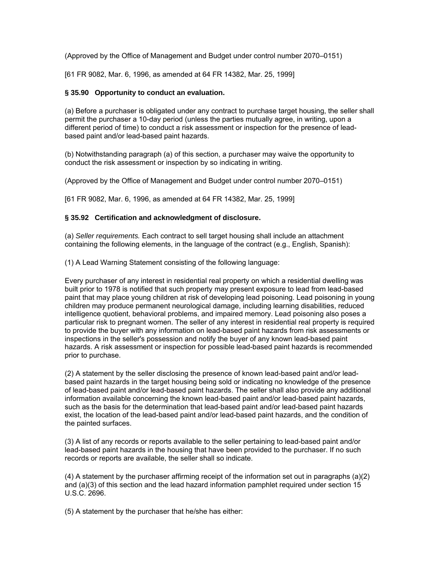(Approved by the Office of Management and Budget under control number 2070–0151)

[61 FR 9082, Mar. 6, 1996, as amended at 64 FR 14382, Mar. 25, 1999]

## **§ 35.90 Opportunity to conduct an evaluation.**

(a) Before a purchaser is obligated under any contract to purchase target housing, the seller shall permit the purchaser a 10-day period (unless the parties mutually agree, in writing, upon a different period of time) to conduct a risk assessment or inspection for the presence of leadbased paint and/or lead-based paint hazards.

(b) Notwithstanding paragraph (a) of this section, a purchaser may waive the opportunity to conduct the risk assessment or inspection by so indicating in writing.

(Approved by the Office of Management and Budget under control number 2070–0151)

[61 FR 9082, Mar. 6, 1996, as amended at 64 FR 14382, Mar. 25, 1999]

## **§ 35.92 Certification and acknowledgment of disclosure.**

(a) *Seller requirements.* Each contract to sell target housing shall include an attachment containing the following elements, in the language of the contract (e.g., English, Spanish):

(1) A Lead Warning Statement consisting of the following language:

Every purchaser of any interest in residential real property on which a residential dwelling was built prior to 1978 is notified that such property may present exposure to lead from lead-based paint that may place young children at risk of developing lead poisoning. Lead poisoning in young children may produce permanent neurological damage, including learning disabilities, reduced intelligence quotient, behavioral problems, and impaired memory. Lead poisoning also poses a particular risk to pregnant women. The seller of any interest in residential real property is required to provide the buyer with any information on lead-based paint hazards from risk assessments or inspections in the seller's possession and notify the buyer of any known lead-based paint hazards. A risk assessment or inspection for possible lead-based paint hazards is recommended prior to purchase.

(2) A statement by the seller disclosing the presence of known lead-based paint and/or leadbased paint hazards in the target housing being sold or indicating no knowledge of the presence of lead-based paint and/or lead-based paint hazards. The seller shall also provide any additional information available concerning the known lead-based paint and/or lead-based paint hazards, such as the basis for the determination that lead-based paint and/or lead-based paint hazards exist, the location of the lead-based paint and/or lead-based paint hazards, and the condition of the painted surfaces.

(3) A list of any records or reports available to the seller pertaining to lead-based paint and/or lead-based paint hazards in the housing that have been provided to the purchaser. If no such records or reports are available, the seller shall so indicate.

(4) A statement by the purchaser affirming receipt of the information set out in paragraphs (a)(2) and (a)(3) of this section and the lead hazard information pamphlet required under section 15 U.S.C. 2696.

(5) A statement by the purchaser that he/she has either: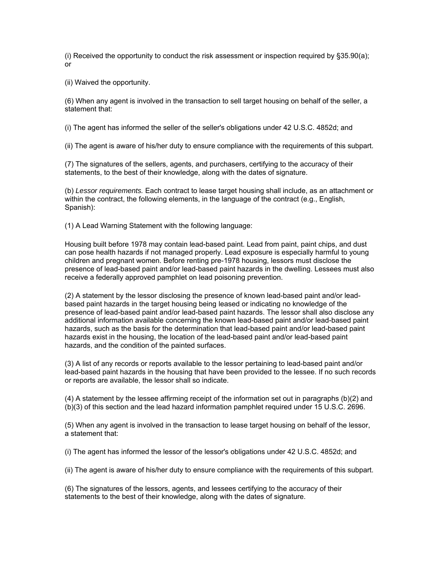(i) Received the opportunity to conduct the risk assessment or inspection required by §35.90(a); or

(ii) Waived the opportunity.

(6) When any agent is involved in the transaction to sell target housing on behalf of the seller, a statement that:

(i) The agent has informed the seller of the seller's obligations under 42 U.S.C. 4852d; and

(ii) The agent is aware of his/her duty to ensure compliance with the requirements of this subpart.

(7) The signatures of the sellers, agents, and purchasers, certifying to the accuracy of their statements, to the best of their knowledge, along with the dates of signature.

(b) *Lessor requirements.* Each contract to lease target housing shall include, as an attachment or within the contract, the following elements, in the language of the contract (e.g., English, Spanish):

(1) A Lead Warning Statement with the following language:

Housing built before 1978 may contain lead-based paint. Lead from paint, paint chips, and dust can pose health hazards if not managed properly. Lead exposure is especially harmful to young children and pregnant women. Before renting pre-1978 housing, lessors must disclose the presence of lead-based paint and/or lead-based paint hazards in the dwelling. Lessees must also receive a federally approved pamphlet on lead poisoning prevention.

(2) A statement by the lessor disclosing the presence of known lead-based paint and/or leadbased paint hazards in the target housing being leased or indicating no knowledge of the presence of lead-based paint and/or lead-based paint hazards. The lessor shall also disclose any additional information available concerning the known lead-based paint and/or lead-based paint hazards, such as the basis for the determination that lead-based paint and/or lead-based paint hazards exist in the housing, the location of the lead-based paint and/or lead-based paint hazards, and the condition of the painted surfaces.

(3) A list of any records or reports available to the lessor pertaining to lead-based paint and/or lead-based paint hazards in the housing that have been provided to the lessee. If no such records or reports are available, the lessor shall so indicate.

(4) A statement by the lessee affirming receipt of the information set out in paragraphs (b)(2) and (b)(3) of this section and the lead hazard information pamphlet required under 15 U.S.C. 2696.

(5) When any agent is involved in the transaction to lease target housing on behalf of the lessor, a statement that:

(i) The agent has informed the lessor of the lessor's obligations under 42 U.S.C. 4852d; and

(ii) The agent is aware of his/her duty to ensure compliance with the requirements of this subpart.

(6) The signatures of the lessors, agents, and lessees certifying to the accuracy of their statements to the best of their knowledge, along with the dates of signature.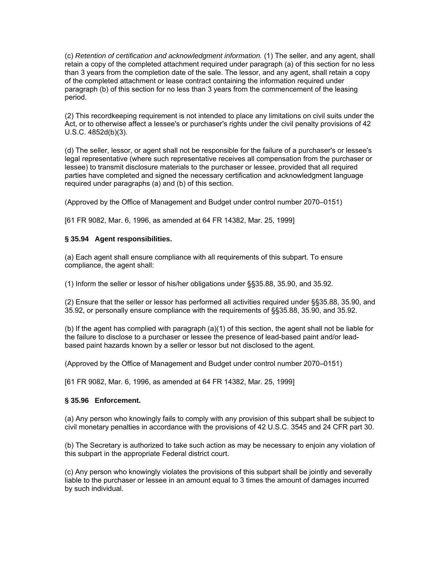(c) *Retention of certification and acknowledgment information.* (1) The seller, and any agent, shall retain a copy of the completed attachment required under paragraph (a) of this section for no less than 3 years from the completion date of the sale. The lessor, and any agent, shall retain a copy of the completed attachment or lease contract containing the information required under paragraph (b) of this section for no less than 3 years from the commencement of the leasing period.

(2) This recordkeeping requirement is not intended to place any limitations on civil suits under the Act, or to otherwise affect a lessee's or purchaser's rights under the civil penalty provisions of 42 U.S.C. 4852d(b)(3).

(d) The seller, lessor, or agent shall not be responsible for the failure of a purchaser's or lessee's legal representative (where such representative receives all compensation from the purchaser or lessee) to transmit disclosure materials to the purchaser or lessee, provided that all required parties have completed and signed the necessary certification and acknowledgment language required under paragraphs (a) and (b) of this section.

(Approved by the Office of Management and Budget under control number 2070–0151)

[61 FR 9082, Mar. 6, 1996, as amended at 64 FR 14382, Mar. 25, 1999]

## **§ 35.94 Agent responsibilities.**

(a) Each agent shall ensure compliance with all requirements of this subpart. To ensure compliance, the agent shall:

(1) Inform the seller or lessor of his/her obligations under §§35.88, 35.90, and 35.92.

(2) Ensure that the seller or lessor has performed all activities required under §§35.88, 35.90, and 35.92, or personally ensure compliance with the requirements of §§35.88, 35.90, and 35.92.

(b) If the agent has complied with paragraph (a)(1) of this section, the agent shall not be liable for the failure to disclose to a purchaser or lessee the presence of lead-based paint and/or leadbased paint hazards known by a seller or lessor but not disclosed to the agent.

(Approved by the Office of Management and Budget under control number 2070–0151)

[61 FR 9082, Mar. 6, 1996, as amended at 64 FR 14382, Mar. 25, 1999]

# **§ 35.96 Enforcement.**

(a) Any person who knowingly fails to comply with any provision of this subpart shall be subject to civil monetary penalties in accordance with the provisions of 42 U.S.C. 3545 and 24 CFR part 30.

(b) The Secretary is authorized to take such action as may be necessary to enjoin any violation of this subpart in the appropriate Federal district court.

(c) Any person who knowingly violates the provisions of this subpart shall be jointly and severally liable to the purchaser or lessee in an amount equal to 3 times the amount of damages incurred by such individual.